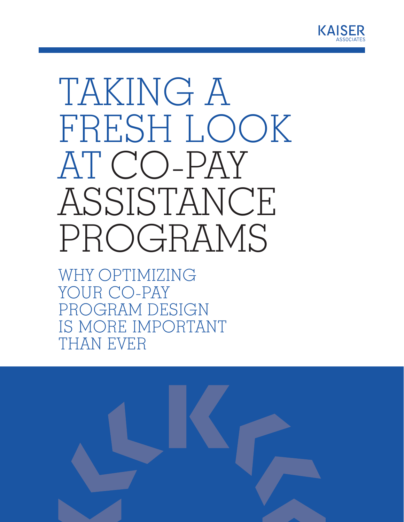

# TAKING A FRESH LOOK AT CO-PAY ASSISTANCE PROGRAMS

WHY OPTIMIZING YOUR CO-PAY PROGRAM DESIGN IS MORE IMPORTANT THAN EVER

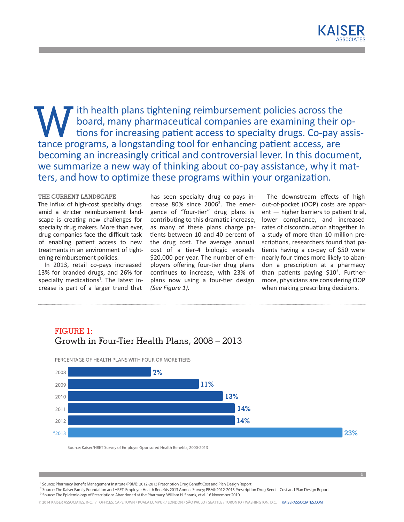With health plans tightening reimbursement policies across the board, many pharmaceutical companies are examining their or tions for increasing patient access to specialty drugs. Co-pay a board, many pharmaceutical companies are examining their options for increasing patient access to specialty drugs. Co-pay assistance programs, a longstanding tool for enhancing patient access, are becoming an increasingly critical and controversial lever. In this document, we summarize a new way of thinking about co-pay assistance, why it matters, and how to optimize these programs within your organization.

## **THE CURRENT LANDSCAPE**

The influx of high-cost specialty drugs amid a stricter reimbursement landscape is creating new challenges for specialty drug makers. More than ever, drug companies face the difficult task of enabling patient access to new treatments in an environment of tightening reimbursement policies.

In 2013, retail co-pays increased 13% for branded drugs, and 26% for specialty medications<sup>1</sup>. The latest increase is part of a larger trend that

has seen specialty drug co-pays increase 80% since 2006². The emergence of "four-tier" drug plans is contributing to this dramatic increase, as many of these plans charge patients between 10 and 40 percent of the drug cost. The average annual cost of a tier-4 biologic exceeds \$20,000 per year. The number of employers offering four-tier drug plans continues to increase, with 23% of plans now using a four-tier design *(See Figure 1).* 

The downstream effects of high out-of-pocket (OOP) costs are apparent — higher barriers to patient trial, lower compliance, and increased rates of discontinuation altogether. In a study of more than 10 million prescriptions, researchers found that patients having a co-pay of \$50 were nearly four times more likely to abandon a prescription at a pharmacy than patients paying  $$10<sup>3</sup>$ . Furthermore, physicians are considering OOP when making prescribing decisions.

**1**

## FIGURE 1: Growth in Four-Tier Health Plans, 2008 – 2013



<sup>1</sup> Source: Pharmacy Benefit Management Institute (PBMI): 2012-2013 Prescription Drug Benefit Cost and Plan Design Report

 ² Source: The Kaiser Family Foundation and HRET: Employer Health Benefits 2013 Annual Survey; PBMI: 2012-2013 Prescription Drug Benefit Cost and Plan Design Report <sup>3</sup> Source: The Epidemiology of Prescriptions Abandoned at the Pharmacy William H. Shrank, et al. 16 November 2010

© 2014 KAISER ASSOCIATES, INC. / OFFICES: CAPE TOWN / KUALA LUMPUR / LONDON / SÃO PAULO / SEATTLE / TORONTO / WASHINGTON, D.C. [KAISERASSOCIATES.COM](http://www.kaiserassociates.com)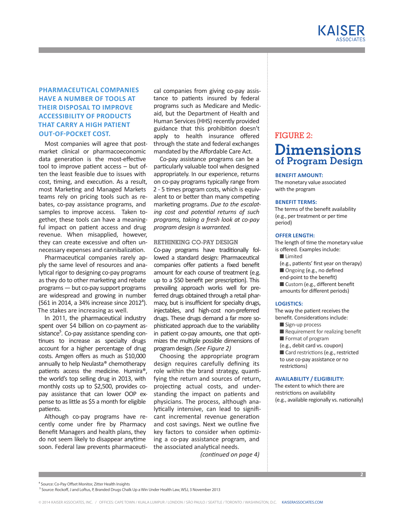## **PHARMACEUTICAL COMPANIES HAVE A NUMBER OF TOOLS AT THEIR DISPOSAL TO IMPROVE ACCESSIBILITY OF PRODUCTS THAT CARRY A HIGH PATIENT OUT-OF-POCKET COST.**

Most companies will agree that postmarket clinical or pharmacoeconomic data generation is the most-effective tool to improve patient access – but often the least feasible due to issues with cost, timing, and execution. As a result, most Marketing and Managed Markets teams rely on pricing tools such as rebates, co-pay assistance programs, and samples to improve access. Taken together, these tools can have a meaningful impact on patient access and drug revenue. When misapplied, however, they can create excessive and often unnecessary expenses and cannibalization.

Pharmaceutical companies rarely apply the same level of resources and analytical rigor to designing co-pay programs as they do to other marketing and rebate programs — but co-pay support programs are widespread and growing in number (561 in 2014, a 34% increase since 2012<sup>4</sup>). The stakes are increasing as well.

In 2011, the pharmaceutical industry spent over \$4 billion on co-payment assistance<sup>5</sup>. Co-pay assistance spending continues to increase as specialty drugs account for a higher percentage of drug costs. Amgen offers as much as \$10,000 annually to help Neulasta® chemotherapy patients access the medicine. Humira®, the world's top selling drug in 2013, with monthly costs up to \$2,500, provides copay assistance that can lower OOP expense to as little as \$5 a month for eligible patients.

Although co-pay programs have recently come under fire by Pharmacy Benefit Managers and health plans, they do not seem likely to disappear anytime soon. Federal law prevents pharmaceuti-

cal companies from giving co-pay assistance to patients insured by federal programs such as Medicare and Medicaid, but the Department of Health and Human Services (HHS) recently provided guidance that this prohibition doesn't apply to health insurance offered through the state and federal exchanges mandated by the Affordable Care Act.

Co-pay assistance programs can be a particularly valuable tool when designed appropriately. In our experience, returns on co-pay programs typically range from 2 - 5 times program costs, which is equivalent to or better than many competing marketing programs. *Due to the escalating cost and potential returns of such programs, taking a fresh look at co-pay program design is warranted.*

## **RETHINKING CO-PAY DESIGN**

Co-pay programs have traditionally followed a standard design: Pharmaceutical companies offer patients a fixed benefit amount for each course of treatment (e.g. up to a \$50 benefit per prescription). This prevailing approach works well for preferred drugs obtained through a retail pharmacy, but is insufficient for specialty drugs, injectables, and high-cost non-preferred drugs. These drugs demand a far more sophisticated approach due to the variability in patient co-pay amounts, one that optimizes the multiple possible dimensions of program design. *(See Figure 2)*

Choosing the appropriate program design requires carefully defining its role within the brand strategy, quantifying the return and sources of return, projecting actual costs, and understanding the impact on patients and physicians. The process, although analytically intensive, can lead to significant incremental revenue generation and cost savings. Next we outline five key factors to consider when optimizing a co-pay assistance program, and the associated analytical needs.

*(continued on page 4)* 

## FIGURE 2: **Dimensions of Program Design**

## **BENEFIT AMOUNT:**

The monetary value associated with the program

## **BENEFIT TERMS:**

The terms of the benefit availability (e.g., per treatment or per time period)

### **OFFER LENGTH:**

The length of time the monetary value is offered. Examples include:

- n Limited
- (e.g., patients' first year on therapy)
- Ongoing (e.g., no defined
- end-point to the benefit)
- Custom (e.g., different benefit
- amounts for different periods)

## **LOGISTICS:**

The way the patient receives the benefit. Considerations include:

- $\blacksquare$  Sign-up process
- $\blacksquare$  Requirement for realizing benefit
- $\blacksquare$  Format of program

(e.g., debit card vs. coupon) Card restrictions (e.g., restricted to use co-pay assistance or no restrictions)

## **AVAILABILITY / ELIGIBILITY:**

The extent to which there are restrictions on availability (e.g., available regionally vs. nationally)

<sup>&</sup>lt;sup>4</sup> Source: Co-Pay Offset Monitor, Zitter Health Insights

⁵ Source: Rockoff, J and Loftus, P, Branded Drugs Chalk Up a Win Under Health Law, WSJ, 3 November 2013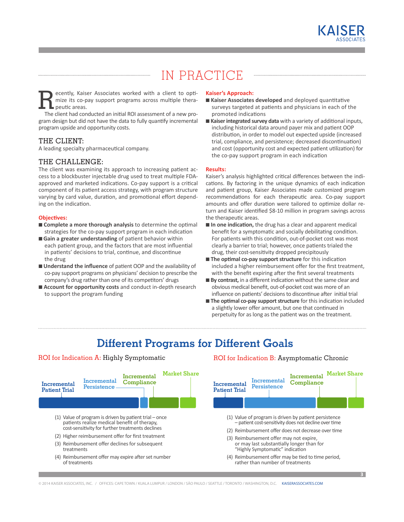

# IN PRACTICE

ecently, Kaiser Associates worked with a client to optimize its co-pay support programs across multiple therapeutic areas.

The client had conducted an initial ROI assessment of a new program design but did not have the data to fully quantify incremental program upside and opportunity costs.

## THE CLIENT:

A leading specialty pharmaceutical company.

## THE CHALLENGE:

The client was examining its approach to increasing patient access to a blockbuster injectable drug used to treat multiple FDAapproved and marketed indications. Co-pay support is a critical component of its patient access strategy, with program structure varying by card value, duration, and promotional effort depending on the indication.

### **Objectives:**

- n **Complete a more thorough analysis** to determine the optimal strategies for the co-pay support program in each indication
- n **Gain a greater understanding** of patient behavior within each patient group, and the factors that are most influential in patients' decisions to trial, continue, and discontinue the drug
- **Understand the influence** of patient OOP and the availability of co-pay support programs on physicians' decision to prescribe the company's drug rather than one of its competitors' drugs
- **E** Account for opportunity costs and conduct in-depth research to support the program funding

#### **Kaiser's Approach:**

- n **Kaiser Associates developed** and deployed quantitative surveys targeted at patients and physicians in each of the promoted indications
- **Kaiser integrated survey data** with a variety of additional inputs, including historical data around payer mix and patient OOP distribution, in order to model out expected upside (increased trial, compliance, and persistence; decreased discontinuation) and cost (opportunity cost and expected patient utilization) for the co-pay support program in each indication

#### **Results:**

Kaiser's analysis highlighted critical differences between the indications. By factoring in the unique dynamics of each indication and patient group, Kaiser Associates made customized program recommendations for each therapeutic area. Co-pay support amounts and offer duration were tailored to optimize dollar return and Kaiser identified \$8-10 million in program savings across the therapeutic areas.

- $\blacksquare$  In one indication, the drug has a clear and apparent medical benefit for a symptomatic and socially debilitating condition. For patients with this condition, out-of-pocket cost was most clearly a barrier to trial; however, once patients trialed the drug, their cost-sensitivity dropped precipitously
- **The optimal co-pay support structure** for this indication included a higher reimbursement offer for the first treatment, with the benefit expiring after the first several treatments
- By contrast, in a different indication without the same clear and obvious medical benefit, out-of-pocket cost was more of an influence on patients' decisions to discontinue after initial trial
- **The optimal co-pay support structure** for this indication included a slightly lower offer amount, but one that continued in perpetuity for as long as the patient was on the treatment.

## **Different Programs for Different Goals**

## ROI for Indication A: Highly Symptomatic



## ROI for Indication B: Asymptomatic Chronic

**Market Share Incremental** 

**Compliance**

**Incremental Persistence**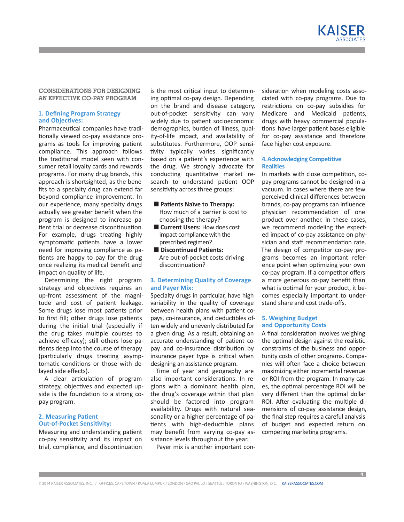KAISFR

## **CONSIDERATIONS FOR DESIGNING AN EFFECTIVE CO-PAY PROGRAM**

## **1. Defining Program Strategy and Objectives:**

Pharmaceutical companies have traditionally viewed co-pay assistance programs as tools for improving patient compliance. This approach follows the traditional model seen with consumer retail loyalty cards and rewards programs. For many drug brands, this approach is shortsighted, as the benefits to a specialty drug can extend far beyond compliance improvement. In our experience, many specialty drugs actually see greater benefit when the program is designed to increase patient trial or decrease discontinuation. For example, drugs treating highly symptomatic patients have a lower need for improving compliance as patients are happy to pay for the drug once realizing its medical benefit and impact on quality of life.

Determining the right program strategy and objectives requires an up-front assessment of the magnitude and cost of patient leakage. Some drugs lose most patients prior to first fill; other drugs lose patients during the initial trial (especially if the drug takes multiple courses to achieve efficacy); still others lose patients deep into the course of therapy (particularly drugs treating asymptomatic conditions or those with delayed side effects).

A clear articulation of program strategy, objectives and expected upside is the foundation to a strong copay program.

## **2. Measuring Patient Out-of-Pocket Sensitivity:**

Measuring and understanding patient co-pay sensitivity and its impact on trial, compliance, and discontinuation

is the most critical input to determining optimal co-pay design. Depending on the brand and disease category, out-of-pocket sensitivity can vary widely due to patient socioeconomic demographics, burden of illness, quality-of-life impact, and availability of substitutes. Furthermore, OOP sensitivity typically varies significantly based on a patient's experience with the drug. We strongly advocate for conducting quantitative market research to understand patient OOP sensitivity across three groups:

#### **n** Patients Naïve to Therapy:

How much of a barrier is cost to choosing the therapy?

- **E** Current Users: How does cost impact compliance with the prescribed regimen?
- $\blacksquare$  **Discontinued Patients:** Are out-of-pocket costs driving discontinuation?

## **3. Determining Quality of Coverage and Payer Mix:**

Specialty drugs in particular, have high variability in the quality of coverage between health plans with patient copays, co-insurance, and deductibles often widely and unevenly distributed for a given drug. As a result, obtaining an accurate understanding of patient copay and co-insurance distribution by insurance payer type is critical when designing an assistance program.

Time of year and geography are also important considerations. In regions with a dominant health plan, the drug's coverage within that plan should be factored into program availability. Drugs with natural seasonality or a higher percentage of patients with high-deductible plans may benefit from varying co-pay assistance levels throughout the year.

Payer mix is another important con-

sideration when modeling costs associated with co-pay programs. Due to restrictions on co-pay subsidies for Medicare and Medicaid patients, drugs with heavy commercial populations have larger patient bases eligible for co-pay assistance and therefore face higher cost exposure.

## **4. Acknowledging Competitive Realities**

In markets with close competition, copay programs cannot be designed in a vacuum. In cases where there are few perceived clinical differences between brands, co-pay programs can influence physician recommendation of one product over another. In these cases, we recommend modeling the expected impact of co-pay assistance on physician and staff recommendation rate. The design of competitor co-pay programs becomes an important reference point when optimizing your own co-pay program. If a competitor offers a more generous co-pay benefit than what is optimal for your product, it becomes especially important to understand share and cost trade-offs.

### **5. Weighing Budget and Opportunity Costs**

A final consideration involves weighing the optimal design against the realistic constraints of the business and opportunity costs of other programs. Companies will often face a choice between maximizing either incremental revenue or ROI from the program. In many cases, the optimal percentage ROI will be very different than the optimal dollar ROI. After evaluating the multiple dimensions of co-pay assistance design, the final step requires a careful analysis of budget and expected return on competing marketing programs.